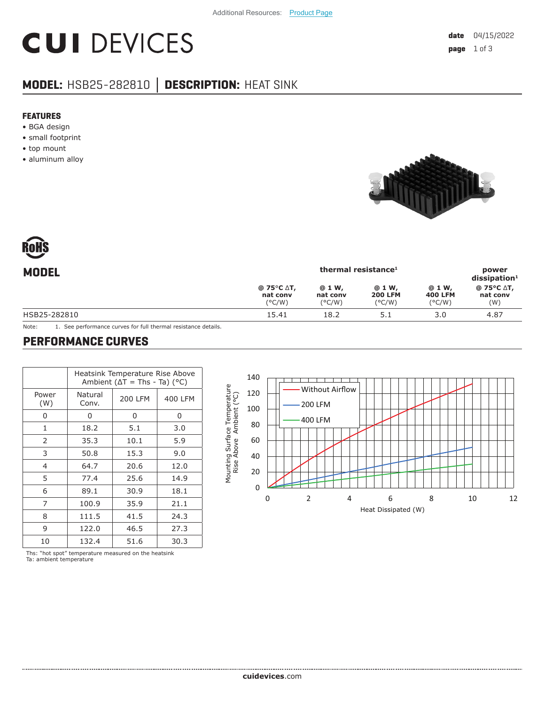# **CUI DEVICES**

### **MODEL:** HSB25-282810 **│ DESCRIPTION:** HEAT SINK

#### **FEATURES**

- BGA design
- small footprint
- top mount
- aluminum alloy





| <b>MODEL</b> |                                                                 | power<br>$dis$ sipation <sup>1</sup>   |                                             |                                             |                               |
|--------------|-----------------------------------------------------------------|----------------------------------------|---------------------------------------------|---------------------------------------------|-------------------------------|
|              | @ 75 $\degree$ C $\triangle$ T,<br>nat conv<br>$(^{\circ}$ C/W) | @ 1 W,<br>nat conv<br>$(^{\circ}$ C/W) | @ 1 W,<br><b>200 LFM</b><br>$(^{\circ}C/W)$ | @ 1 W,<br><b>400 LFM</b><br>$(^{\circ}C/W)$ | @ 75°C ∆T,<br>nat conv<br>(W) |
| HSB25-282810 | 15.41                                                           | 18.2                                   | 5.1                                         | 3.0                                         | 4.87                          |
|              |                                                                 |                                        |                                             |                                             |                               |

Note: 1. See performance curves for full thermal resistance details.

#### **PERFORMANCE CURVES**

|                | Heatsink Temperature Rise Above<br>Ambient ( $\Delta T$ = Ths - Ta) ( $^{\circ}$ C) |                |         |  |  |
|----------------|-------------------------------------------------------------------------------------|----------------|---------|--|--|
| Power<br>(W)   | Natural<br>Conv.                                                                    | <b>200 LFM</b> | 400 LFM |  |  |
| Ω              | 0                                                                                   | 0              | 0       |  |  |
| 1              | 18.2                                                                                | 5.1            | 3.0     |  |  |
| 2              | 35.3                                                                                | 10.1           | 5.9     |  |  |
| 3              | 50.8                                                                                | 15.3           | 9.0     |  |  |
| $\overline{4}$ | 64.7                                                                                | 20.6           | 12.0    |  |  |
| 5              | 77.4                                                                                | 25.6           | 14.9    |  |  |
| 6              | 89.1                                                                                | 30.9           | 18.1    |  |  |
| 7              | 100.9                                                                               | 35.9           | 21.1    |  |  |
| 8              | 111.5                                                                               | 41.5<br>24.3   |         |  |  |
| 9              | 122.0                                                                               | 46.5<br>27.3   |         |  |  |
| 10             | 132.4                                                                               | 51.6           | 30.3    |  |  |

140 Mounting Surface Temperature<br>Rise Above Ambient (°C) Mounting Surface Temperature Without Airflow 120 Rise Above Ambient (°C) 200 LFM 100 400 LFM 80 60 40 20  $\Omega$ 0246 8 10 12 Heat Dissipated (W)

Ths: "hot spot" temperature measured on the heatsink Ta: ambient temperature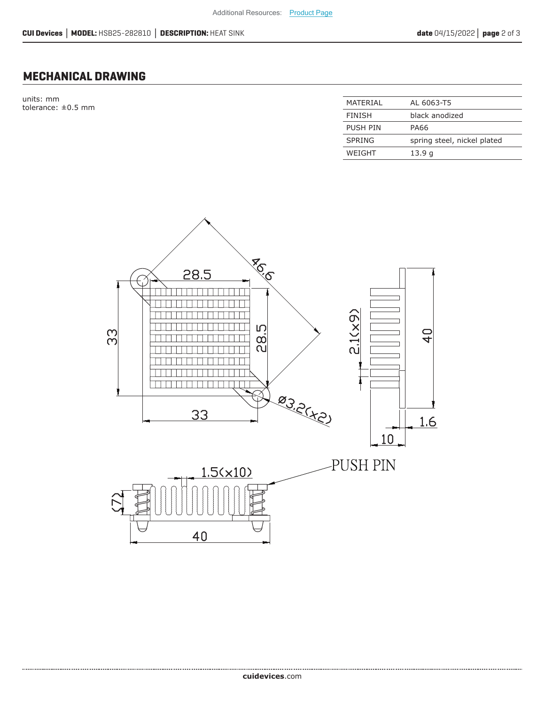#### **MECHANICAL DRAWING**

units: mm tolerance:  $\pm 0.5$  mm

| MATFRIAI        | AL 6063-T5                  |
|-----------------|-----------------------------|
| FINISH          | black anodized              |
| <b>PUSH PIN</b> | PA66                        |
| <b>SPRING</b>   | spring steel, nickel plated |
| WFIGHT          | 13.9 g                      |